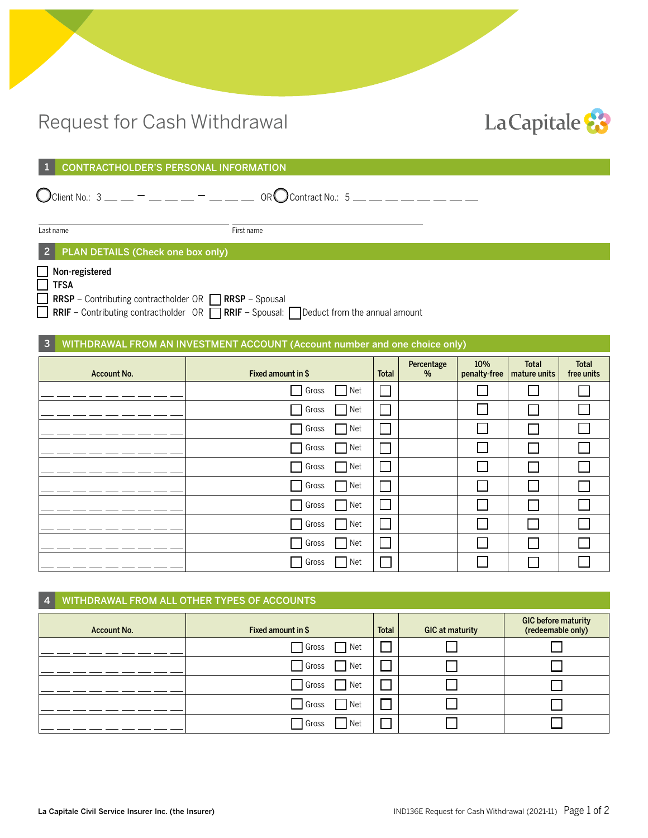# Request for Cash Withdrawal



|  | 1 CONTRACTHOLDER'S PERSONAL INFORMATION |
|--|-----------------------------------------|
|--|-----------------------------------------|

 $\bigodot$ Client No.: 3 \_\_ \_ - \_ \_ \_ \_ \_ - \_ \_ \_ \_ OR $\bigodot$ Contract No.: 5 \_\_ \_

Last name First name

### 2 PLAN DETAILS (Check one box only)

Non-registered  $\bar{=}$  TECA

| ___ і гэл                                                          |  |
|--------------------------------------------------------------------|--|
| $\Box$ RRSP - Contributing contractholder OR $\Box$ RRSP - Spousal |  |

**RRIF** – Contributing contractholder  $OR$  **RRIF** – Spousal: **O** Deduct from the annual amount

### 3 WITHDRAWAL FROM AN INVESTMENT ACCOUNT (Account number and one choice only)

| <b>Account No.</b> | Fixed amount in \$             | Total | Percentage<br>$\%$ | 10%<br>penalty-free      | <b>Total</b><br>mature units | Total<br>free units |
|--------------------|--------------------------------|-------|--------------------|--------------------------|------------------------------|---------------------|
|                    | Net<br>Gross                   |       |                    |                          |                              |                     |
|                    | Net<br>Gross<br>$\mathbb{R}^n$ |       |                    | L                        |                              |                     |
|                    | Net<br>Gross                   |       |                    | L                        |                              |                     |
|                    | Gross<br>Net<br>$\sim$ 1       |       |                    | $\sim$                   | $\mathsf{I}$                 |                     |
|                    | Net<br>Gross                   |       |                    | $\overline{\phantom{a}}$ | П                            |                     |
|                    | Net<br>Gross<br>l I            |       |                    | $\mathbb{R}^n$           |                              |                     |
|                    | Gross<br>Net<br>$\sim$         |       |                    | $\sim$                   |                              |                     |
|                    | Gross<br>Net                   |       |                    | $\overline{\phantom{a}}$ |                              |                     |
|                    | Net<br>Gross                   |       |                    | $\Box$                   | L                            |                     |
|                    | Gross<br>$\Box$ Net            |       |                    |                          |                              |                     |

| 4 <sup>1</sup> | WITHDRAWAL FROM ALL OTHER TYPES OF ACCOUNTS |                    |              |                 |                                                 |  |
|----------------|---------------------------------------------|--------------------|--------------|-----------------|-------------------------------------------------|--|
|                | <b>Account No.</b>                          | Fixed amount in \$ | <b>Total</b> | GIC at maturity | <b>GIC before maturity</b><br>(redeemable only) |  |
|                |                                             | Gross Net          |              |                 |                                                 |  |
|                |                                             | Gross Net          |              |                 |                                                 |  |
|                |                                             | Gross Net          |              |                 |                                                 |  |
|                |                                             | Gross Net          |              |                 |                                                 |  |
|                |                                             | Gross              | Net          |                 |                                                 |  |